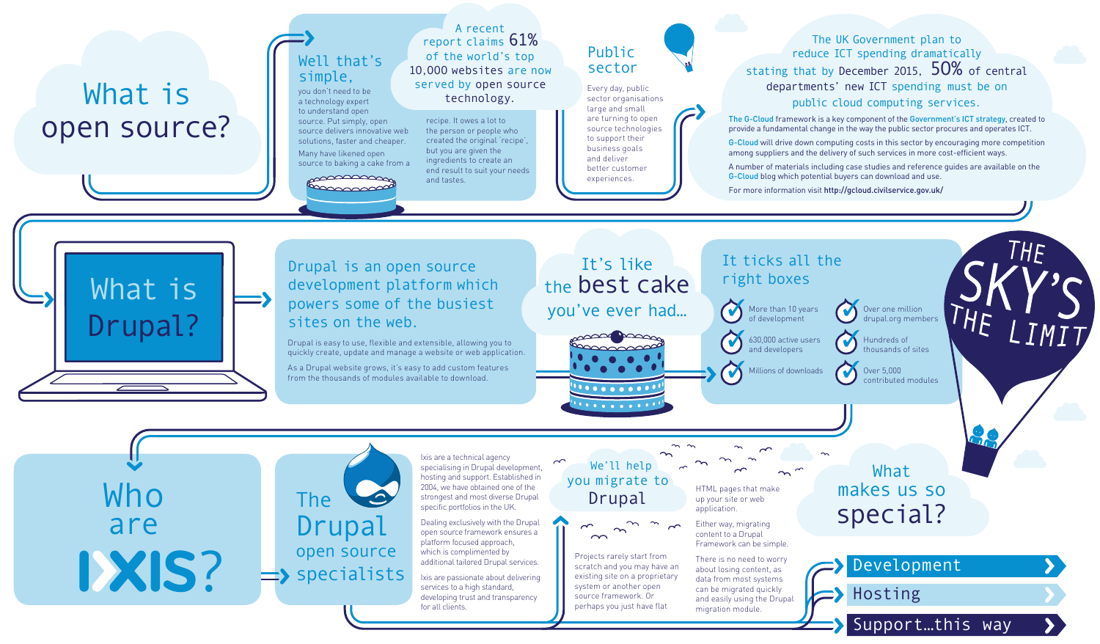# What is open source?

Who are **1XIS?** 



### Well that's simple,

you don't need to be a technology expert to understand open source. Put simply, open source delivers innovative web solutions, faster and cheaper. Many have likened open source to baking a cake from a

#### manaman **EDDOOROOP**

#### Drupal is an open source development platform which powers some of the busiest sites on the web.

Over one million drupal.org members

Hundreds of thousands of sites Over 5,000 contributed modules

Drupal is easy to use, flexible and extensible, allowing you to quickly create, update and manage a website or web application.

As a Drupal website grows, it's easy to add custom features from the thousands of modules available to download.



 More than 10 years of development **630,000** active users and developers

Millions of downloads

#### It ticks all the right boxes

#### Public sector

Every day, public sector organisations large and small are turning to open source technologies to support their business goals and deliver better customer experiences.

#### A recent report claims 61% of the world's top 1O,OOO websites are now served by open source technology.

### It's like the best cake you've ever had…



 We'll help you migrate to Drupal



What makes us so special?

Hosting

### Support…this way



#### The UK Government plan to reduce ICT spending dramatically stating that by December 2015,  $50\%$  of central departments' new ICT spending must be on public cloud computing services.

The G-Cloud framework is a key component of the Government's ICT strategy, created to provide a fundamental change in the way the public sector procures and operates ICT.

G-Cloud will drive down computing costs in this sector by encouraging more competition among suppliers and the delivery of such services in more cost-efficient ways.

A number of materials including case studies and reference guides are available on the G-Cloud blog which potential buyers can download and use.

For more information visit http://gcloud.civilservice.gov.uk/

recipe. It owes a lot to the person or people who created the original 'recipe', but you are given the ingredients to create an end result to suit your needs and tastes.

Ixis are a technical agency specialising in Drupal development, hosting and support. Established in 2004, we have obtained one of the strongest and most diverse Drupal specific portfolios in the UK.

Dealing exclusively with the Drupal open source framework ensures a platform focused approach, which is complimented by additional tailored Drupal services.

Ixis are passionate about delivering services to a high standard, developing trust and transparency for all clients.

Projects rarely start from scratch and you may have an existing site on a proprietary system or another open source framework. Or perhaps you just have flat

HTML pages that make up your site or web application.

Either way, migrating content to a Drupal Framework can be simple.

There is no need to worry about losing content, as data from most systems can be migrated quickly and easily using the Drupal migration module.